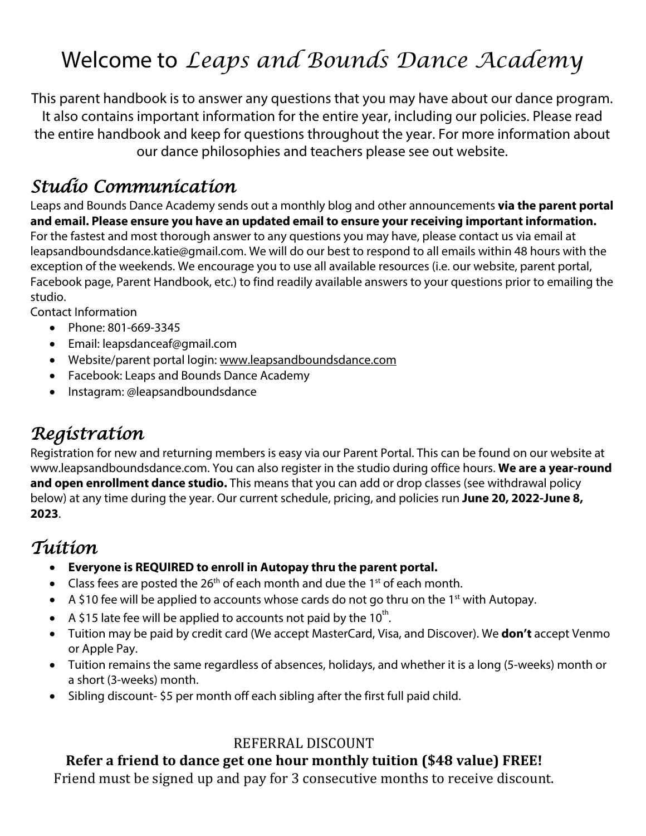# Welcome to *Leaps and Bounds Dance Academy*

This parent handbook is to answer any questions that you may have about our dance program. It also contains important information for the entire year, including our policies. Please read the entire handbook and keep for questions throughout the year. For more information about our dance philosophies and teachers please see out website.

### *Studio Communication*

Leaps and Bounds Dance Academy sends out a monthly blog and other announcements **via the parent portal and email. Please ensure you have an updated email to ensure your receiving important information.**  For the fastest and most thorough answer to any questions you may have, please contact us via email at leapsandboundsdance.katie@gmail.com. We will do our best to respond to all emails within 48 hours with the exception of the weekends. We encourage you to use all available resources (i.e. our website, parent portal, Facebook page, Parent Handbook, etc.) to find readily available answers to your questions prior to emailing the studio.

Contact Information

- Phone: 801-669-3345
- Email: leapsdanceaf@gmail.com
- Website/parent portal login: www.leapsandboundsdance.com
- Facebook: Leaps and Bounds Dance Academy
- Instagram: @leapsandboundsdance

### *Registration*

Registration for new and returning members is easy via our Parent Portal. This can be found on our website at www.leapsandboundsdance.com. You can also register in the studio during office hours. **We are a year-round and open enrollment dance studio.** This means that you can add or drop classes (see withdrawal policy below) at any time during the year. Our current schedule, pricing, and policies run **June 20, 2022-June 8, 2023**.

#### *Tuition*

- **Everyone is REQUIRED to enroll in Autopay thru the parent portal.**
- Class fees are posted the 26<sup>th</sup> of each month and due the 1<sup>st</sup> of each month.
- A \$10 fee will be applied to accounts whose cards do not go thru on the 1<sup>st</sup> with Autopay.
- A \$15 late fee will be applied to accounts not paid by the  $10^{th}$ .
- Tuition may be paid by credit card (We accept MasterCard, Visa, and Discover). We **don't** accept Venmo or Apple Pay.
- Tuition remains the same regardless of absences, holidays, and whether it is a long (5-weeks) month or a short (3-weeks) month.
- Sibling discount- \$5 per month off each sibling after the first full paid child.

#### REFERRAL DISCOUNT

#### **Refer a friend to dance get one hour monthly tuition (\$48 value) FREE!**

Friend must be signed up and pay for 3 consecutive months to receive discount.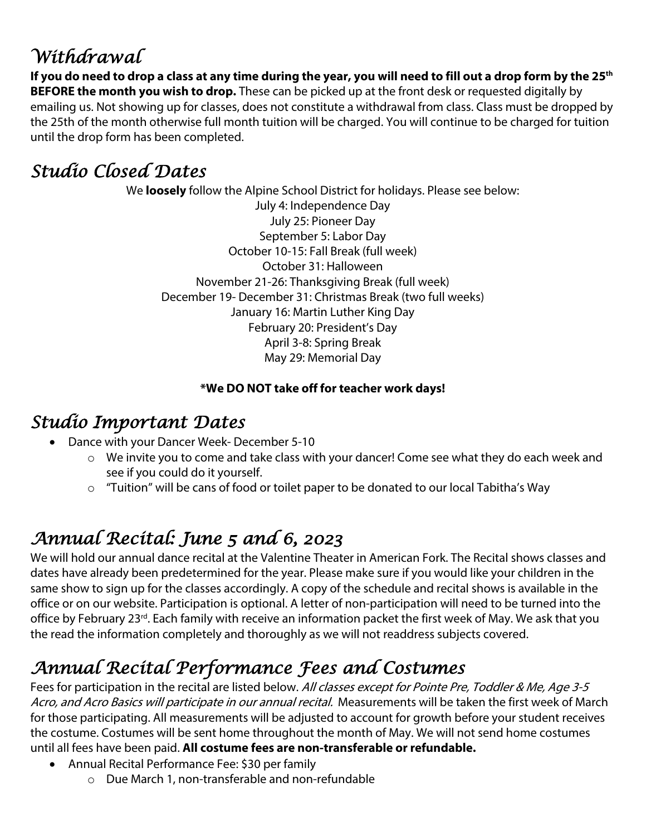# *Withdrawal*

**If you do need to drop a class at any time during the year, you will need to fill out a drop form by the 25th BEFORE the month you wish to drop.** These can be picked up at the front desk or requested digitally by emailing us. Not showing up for classes, does not constitute a withdrawal from class. Class must be dropped by the 25th of the month otherwise full month tuition will be charged. You will continue to be charged for tuition until the drop form has been completed.

## *Studio Closed Dates*

We **loosely** follow the Alpine School District for holidays. Please see below: July 4: Independence Day July 25: Pioneer Day September 5: Labor Day October 10-15: Fall Break (full week) October 31: Halloween November 21-26: Thanksgiving Break (full week) December 19- December 31: Christmas Break (two full weeks) January 16: Martin Luther King Day February 20: President's Day April 3-8: Spring Break May 29: Memorial Day

#### **\*We DO NOT take off for teacher work days!**

### *Studio Important Dates*

- Dance with your Dancer Week- December 5-10
	- o We invite you to come and take class with your dancer! Come see what they do each week and see if you could do it yourself.
	- o "Tuition" will be cans of food or toilet paper to be donated to our local Tabitha's Way

# *Annual Recital: June 5 and 6, 2023*

We will hold our annual dance recital at the Valentine Theater in American Fork. The Recital shows classes and dates have already been predetermined for the year. Please make sure if you would like your children in the same show to sign up for the classes accordingly. A copy of the schedule and recital shows is available in the office or on our website. Participation is optional. A letter of non-participation will need to be turned into the office by February 23<sup>rd</sup>. Each family with receive an information packet the first week of May. We ask that you the read the information completely and thoroughly as we will not readdress subjects covered.

# *Annual Recital Performance Fees and Costumes*

Fees for participation in the recital are listed below. All classes except for Pointe Pre, Toddler & Me, Age 3-5 Acro, and Acro Basics will participate in our annual recital. Measurements will be taken the first week of March for those participating. All measurements will be adjusted to account for growth before your student receives the costume. Costumes will be sent home throughout the month of May. We will not send home costumes until all fees have been paid. **All costume fees are non-transferable or refundable.** 

- Annual Recital Performance Fee: \$30 per family
	- o Due March 1, non-transferable and non-refundable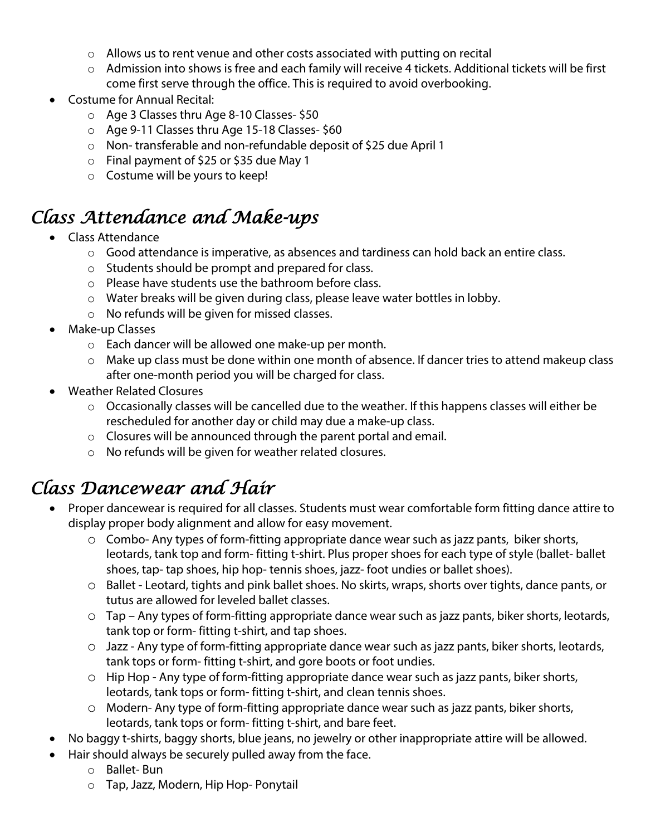- o Allows us to rent venue and other costs associated with putting on recital
- $\circ$  Admission into shows is free and each family will receive 4 tickets. Additional tickets will be first come first serve through the office. This is required to avoid overbooking.
- Costume for Annual Recital:
	- o Age 3 Classes thru Age 8-10 Classes- \$50
	- o Age 9-11 Classes thru Age 15-18 Classes- \$60
	- o Non- transferable and non-refundable deposit of \$25 due April 1
	- o Final payment of \$25 or \$35 due May 1
	- o Costume will be yours to keep!

### *Class Attendance and Make-ups*

- Class Attendance
	- o Good attendance is imperative, as absences and tardiness can hold back an entire class.
	- o Students should be prompt and prepared for class.
	- o Please have students use the bathroom before class.
	- $\circ$  Water breaks will be given during class, please leave water bottles in lobby.
	- o No refunds will be given for missed classes.
- Make-up Classes
	- o Each dancer will be allowed one make-up per month.
	- o Make up class must be done within one month of absence. If dancer tries to attend makeup class after one-month period you will be charged for class.
- Weather Related Closures
	- o Occasionally classes will be cancelled due to the weather. If this happens classes will either be rescheduled for another day or child may due a make-up class.
	- $\circ$  Closures will be announced through the parent portal and email.
	- o No refunds will be given for weather related closures.

### *Class Dancewear and Hair*

- Proper dancewear is required for all classes. Students must wear comfortable form fitting dance attire to display proper body alignment and allow for easy movement.
	- o Combo- Any types of form-fitting appropriate dance wear such as jazz pants, biker shorts, leotards, tank top and form- fitting t-shirt. Plus proper shoes for each type of style (ballet- ballet shoes, tap- tap shoes, hip hop- tennis shoes, jazz- foot undies or ballet shoes).
	- o Ballet Leotard, tights and pink ballet shoes. No skirts, wraps, shorts over tights, dance pants, or tutus are allowed for leveled ballet classes.
	- o Tap Any types of form-fitting appropriate dance wear such as jazz pants, biker shorts, leotards, tank top or form- fitting t-shirt, and tap shoes.
	- o Jazz Any type of form-fitting appropriate dance wear such as jazz pants, biker shorts, leotards, tank tops or form- fitting t-shirt, and gore boots or foot undies.
	- o Hip Hop Any type of form-fitting appropriate dance wear such as jazz pants, biker shorts, leotards, tank tops or form- fitting t-shirt, and clean tennis shoes.
	- o Modern- Any type of form-fitting appropriate dance wear such as jazz pants, biker shorts, leotards, tank tops or form- fitting t-shirt, and bare feet.
- No baggy t-shirts, baggy shorts, blue jeans, no jewelry or other inappropriate attire will be allowed.
- Hair should always be securely pulled away from the face.
	- o Ballet- Bun
	- o Tap, Jazz, Modern, Hip Hop- Ponytail